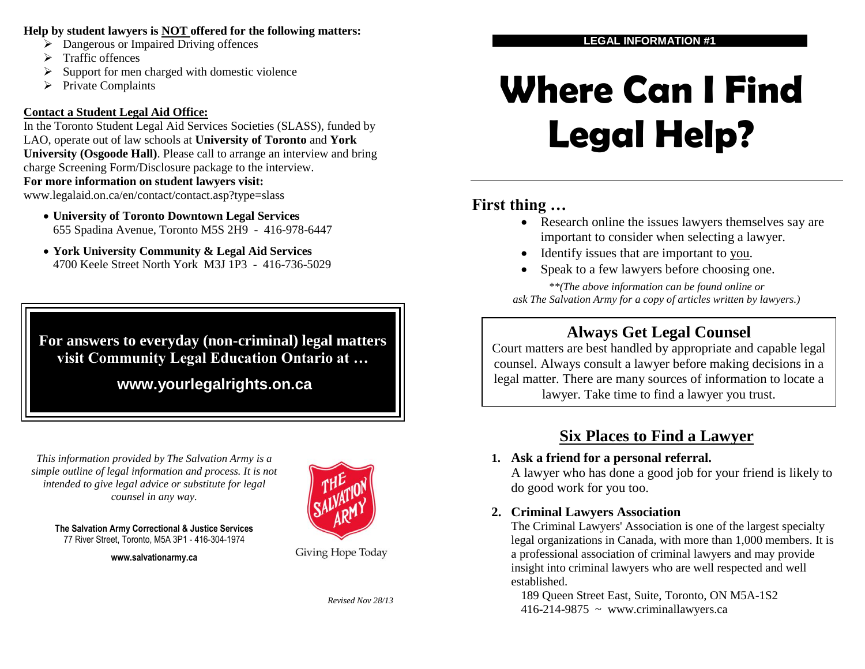#### **Help by student lawyers is NOT offered for the following matters:**

- $\triangleright$  Dangerous or Impaired Driving offences
- $\triangleright$  Traffic offences
- $\triangleright$  Support for men charged with domestic violence
- $\triangleright$  Private Complaints

## **Contact a Student Legal Aid Office:**

In the Toronto Student Legal Aid Services Societies (SLASS), funded by LAO, operate out of law schools at **University of Toronto** and **York University (Osgoode Hall)**. Please call to arrange an interview and bring charge Screening Form/Disclosure package to the interview.

#### **For more information on student lawyers visit:**

www.legalaid.on.ca/en/contact/contact.asp?type=slass

- **University of Toronto Downtown Legal Services** 655 Spadina Avenue, Toronto M5S 2H9 - 416-978-6447
- **York University Community & Legal Aid Services**  4700 Keele Street North York M3J 1P3 - 416-736-5029

**For answers to everyday (non-criminal) legal matters visit Community Legal Education Ontario at …**

**www.yourlegalrights.on.ca**

*This information provided by The Salvation Army is a simple outline of legal information and process. It is not intended to give legal advice or substitute for legal counsel in any way.*

**The Salvation Army Correctional & Justice Services** 77 River Street, Toronto, M5A 3P1 - 416-304-1974

**www.salvationarmy.ca**



Giving Hope Today

*Revised Nov 28/13*

#### **LEGAL INFORMATION #1**

# **Where Can I Find Legal Help?**

## **First thing …**

- Research online the issues lawyers themselves say are important to consider when selecting a lawyer.
- Identify issues that are important to you.
- Speak to a few lawyers before choosing one.

*\*\*(The above information can be found online or ask The Salvation Army for a copy of articles written by lawyers.)*

# **Always Get Legal Counsel**

Court matters are best handled by appropriate and capable legal counsel. Always consult a lawyer before making decisions in a legal matter. There are many sources of information to locate a lawyer. Take time to find a lawyer you trust.

# **Six Places to Find a Lawyer**

## **1. Ask a friend for a personal referral.**

A lawyer who has done a good job for your friend is likely to do good work for you too.

## **2. Criminal Lawyers Association**

The Criminal Lawyers' Association is one of the largest specialty legal organizations in Canada, with more than 1,000 members. It is a professional association of criminal lawyers and may provide insight into criminal lawyers who are well respected and well established.

189 Queen Street East, Suite, Toronto, ON M5A-1S2  $416-214-9875$  ~ www.criminallawyers.ca